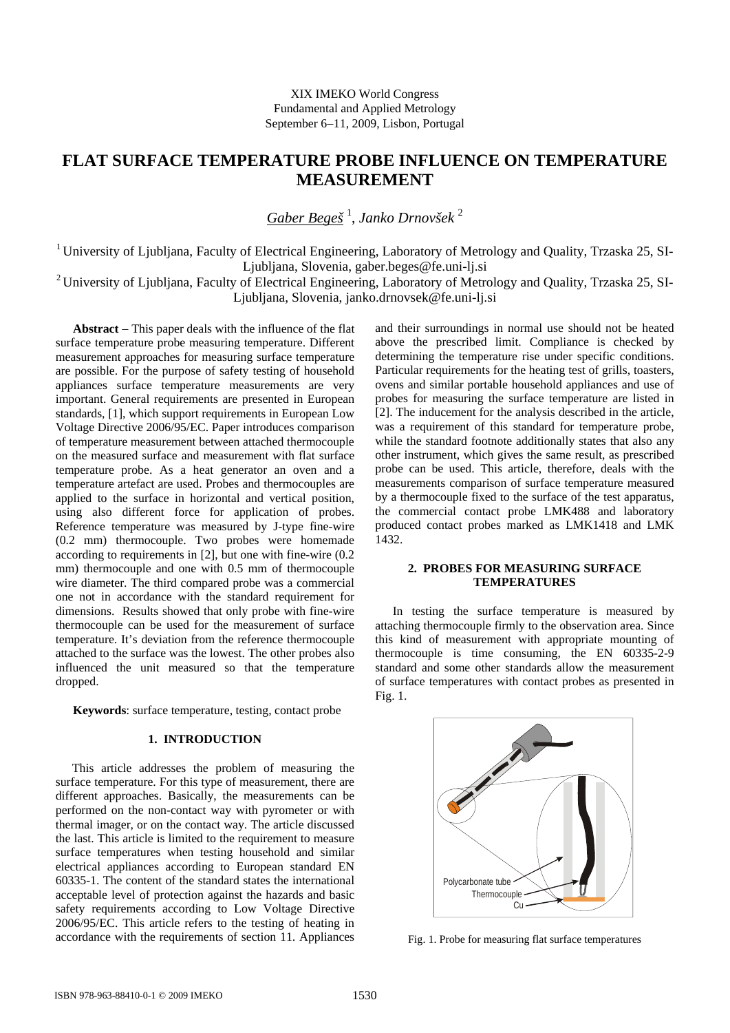# **FLAT SURFACE TEMPERATURE PROBE INFLUENCE ON TEMPERATURE MEASUREMENT**

*Gaber Begeš* <sup>1</sup> , *Janko Drnovšek* <sup>2</sup>

<sup>1</sup> University of Ljubljana, Faculty of Electrical Engineering, Laboratory of Metrology and Quality, Trzaska 25, SI-Ljubljana, Slovenia, gaber.beges@fe.uni-lj.si

<sup>2</sup> University of Ljubljana, Faculty of Electrical Engineering, Laboratory of Metrology and Quality, Trzaska 25, SI-Ljubljana, Slovenia, janko.drnovsek@fe.uni-lj.si

**Abstract** − This paper deals with the influence of the flat surface temperature probe measuring temperature. Different measurement approaches for measuring surface temperature are possible. For the purpose of safety testing of household appliances surface temperature measurements are very important. General requirements are presented in European standards, [1], which support requirements in European Low Voltage Directive 2006/95/EC. Paper introduces comparison of temperature measurement between attached thermocouple on the measured surface and measurement with flat surface temperature probe. As a heat generator an oven and a temperature artefact are used. Probes and thermocouples are applied to the surface in horizontal and vertical position, using also different force for application of probes. Reference temperature was measured by J-type fine-wire (0.2 mm) thermocouple. Two probes were homemade according to requirements in [2], but one with fine-wire (0.2 mm) thermocouple and one with 0.5 mm of thermocouple wire diameter. The third compared probe was a commercial one not in accordance with the standard requirement for dimensions. Results showed that only probe with fine-wire thermocouple can be used for the measurement of surface temperature. It's deviation from the reference thermocouple attached to the surface was the lowest. The other probes also influenced the unit measured so that the temperature dropped.

**Keywords**: surface temperature, testing, contact probe

# **1. INTRODUCTION**

This article addresses the problem of measuring the surface temperature. For this type of measurement, there are different approaches. Basically, the measurements can be performed on the non-contact way with pyrometer or with thermal imager, or on the contact way. The article discussed the last. This article is limited to the requirement to measure surface temperatures when testing household and similar electrical appliances according to European standard EN 60335-1. The content of the standard states the international acceptable level of protection against the hazards and basic safety requirements according to Low Voltage Directive 2006/95/EC. This article refers to the testing of heating in accordance with the requirements of section 11. Appliances

and their surroundings in normal use should not be heated above the prescribed limit. Compliance is checked by determining the temperature rise under specific conditions. Particular requirements for the heating test of grills, toasters, ovens and similar portable household appliances and use of probes for measuring the surface temperature are listed in [2]. The inducement for the analysis described in the article, was a requirement of this standard for temperature probe, while the standard footnote additionally states that also any other instrument, which gives the same result, as prescribed probe can be used. This article, therefore, deals with the measurements comparison of surface temperature measured by a thermocouple fixed to the surface of the test apparatus, the commercial contact probe LMK488 and laboratory produced contact probes marked as LMK1418 and LMK 1432.

## **2. PROBES FOR MEASURING SURFACE TEMPERATURES**

In testing the surface temperature is measured by attaching thermocouple firmly to the observation area. Since this kind of measurement with appropriate mounting of thermocouple is time consuming, the EN 60335-2-9 standard and some other standards allow the measurement of surface temperatures with contact probes as presented in Fig. 1.



Fig. 1. Probe for measuring flat surface temperatures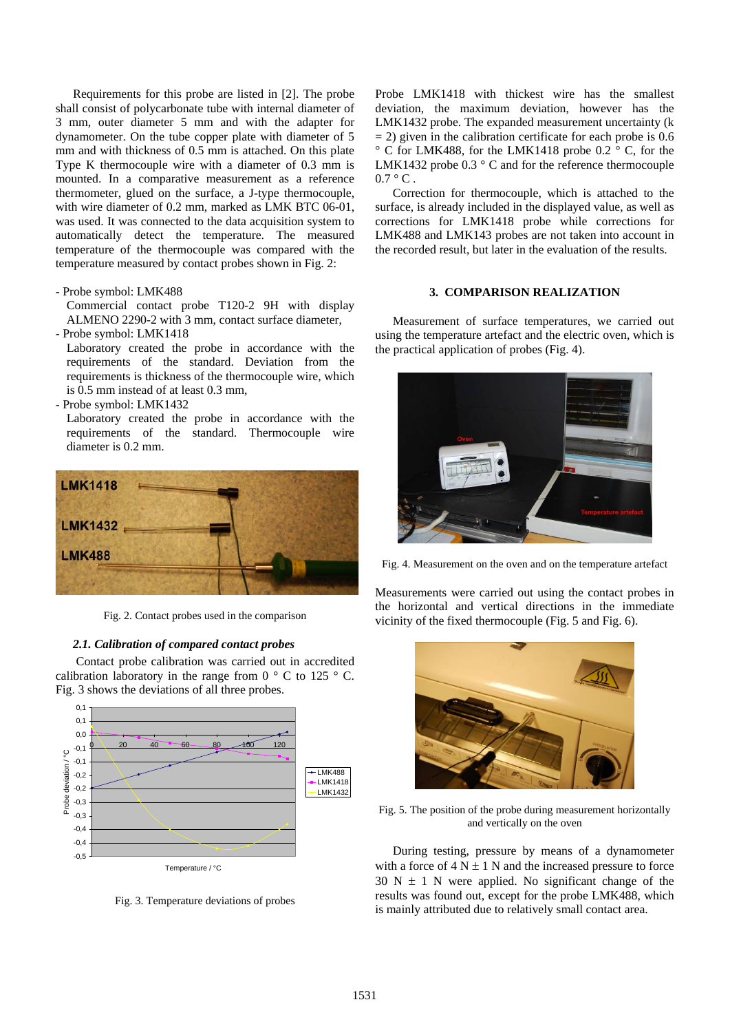Requirements for this probe are listed in [2]. The probe shall consist of polycarbonate tube with internal diameter of 3 mm, outer diameter 5 mm and with the adapter for dynamometer. On the tube copper plate with diameter of 5 mm and with thickness of 0.5 mm is attached. On this plate Type K thermocouple wire with a diameter of 0.3 mm is mounted. In a comparative measurement as a reference thermometer, glued on the surface, a J-type thermocouple, with wire diameter of 0.2 mm, marked as LMK BTC 06-01, was used. It was connected to the data acquisition system to automatically detect the temperature. The measured temperature of the thermocouple was compared with the temperature measured by contact probes shown in Fig. 2:

- Probe symbol: LMK488

Commercial contact probe T120-2 9H with display ALMENO 2290-2 with 3 mm, contact surface diameter,

- Probe symbol: LMK1418

requirements of the standard. Deviation from the Laboratory created the probe in accordance with the requirements is thickness of the thermocouple wire, which is 0.5 mm instead of at least 0.3 mm,

- Probe symbol: LMK1432

Laboratory created the probe in accordance with the requirements of the standard. Thermocouple wire diameter is 0.2 mm.



Fig. 2. Contact probes used in the comparison

### *2.1. C alibration of compared contact probes*

Contact probe calibration was carried out in accredited calibration laboratory in the range from  $0 \degree$  C to 125  $\degree$  C. Fig . 3 shows the deviations of all three probes.



Fig. 3. Temperature deviations of probes

Probe LMK1418 with thickest wire has the smallest deviation, the maximum deviation, however has the LMK1432 probe. The expanded measurement uncertainty (k  $= 2$ ) given in the calibration certificate for each probe is 0.6 ° C for LMK488, for the LMK1418 probe 0.2 ° C, for the LMK1432 probe 0.3 ° C and for the reference thermocouple  $0.7 \degree$  C.

Correction for thermocouple, which is attached to the surface, is already included in the displayed value, as well as corrections for LMK1418 probe while corrections for LMK488 and LMK143 probes are not taken into account in the recorded result, but later in the evaluation of the results.

## **3. COMPARISON REALIZATION**

Measurement of surface temperatures, we carried out using the temperature artefact and the electric oven, which is the practical application of probes (Fig. 4).



Fig. 4. Measurement on the oven and on the temperature artefact

Measurements were carried out using the contact probes in the horizontal and vertical directions in the immediate vicinity of the fixed thermocouple (Fig. 5 and Fig. 6).



Fig. 5. The position of the probe during measurement horizontally and vertically on the oven

During testing, pressure by means of a dynamometer with a force of  $4 N \pm 1 N$  and the increased pressure to force  $30 N \pm 1 N$  were applied. No significant change of the results was found out, except for the probe LMK488, which is mainly attributed due to relatively small contact area.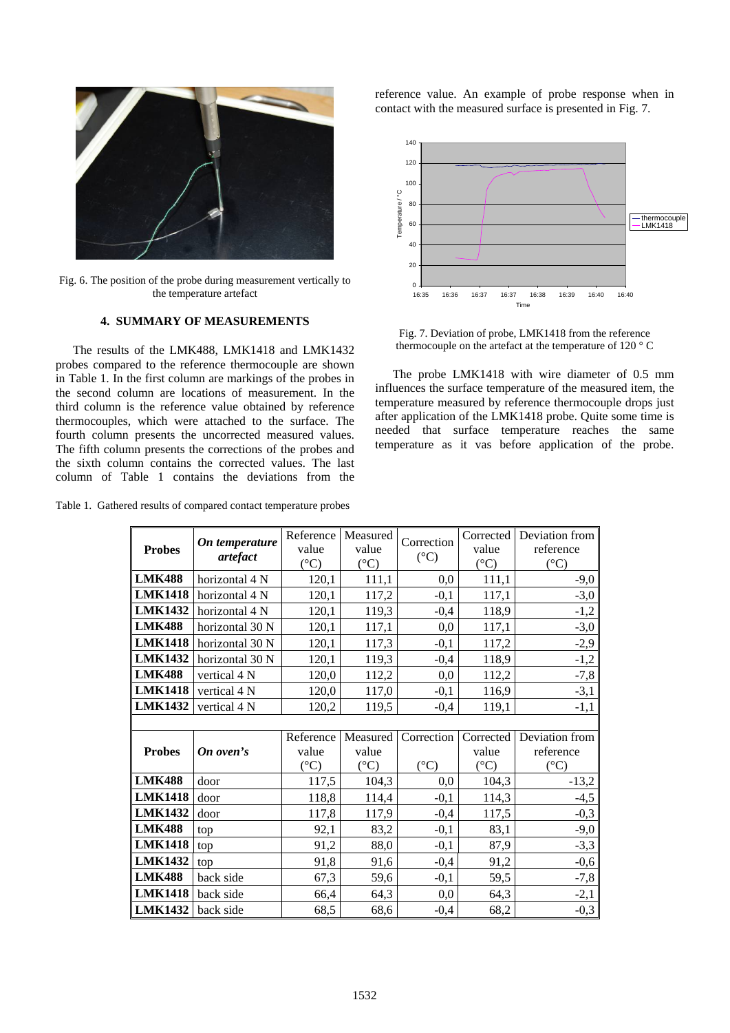

Fig. 6. The position of the probe during measurement vertically to the temperature artefact

## **4. SUMMARY OF MEASUREMENTS**

The results of the LMK488, LMK1418 and LMK1432 probes compared to the reference thermocouple are shown in Table 1. In the first column are markings of the probes in the second column are locations of measurement. In the third column is the reference value obtained by reference thermocouples, which were attached to the surface. The fourth column presents the uncorrected measured values. The fifth column presents the corrections of the probes and the sixth column contains the corrected values. The last column of Table 1 contains the deviations from the

Table 1. Gathered results of compared contact temperature probes

reference value. An example of probe response when in contact with the measured surface is presented in Fig. 7.



Fig. 7. Deviation of probe, LMK1418 from the reference thermocouple on the artefact at the temperature of 120 ° C

The probe LMK1418 with wire diameter of 0.5 mm influences the surface temperature of the measured item, the temperature measured by reference thermocouple drops just after application of the LMK1418 probe. Quite some time is needed that surface temperature reaches the same temperature as it vas before application of the probe.

| <b>Probes</b>  | On temperature<br>artefact | Reference<br>value | Measured<br>value | Correction<br>$({}^{\circ}C)$ | Corrected<br>value | Deviation from<br>reference |
|----------------|----------------------------|--------------------|-------------------|-------------------------------|--------------------|-----------------------------|
|                |                            | $({}^{\circ}C)$    | $({}^{\circ}C)$   |                               | $({}^{\circ}C)$    | $({}^{\circ}C)$             |
| <b>LMK488</b>  | horizontal 4 N             | 120,1              | 111,1             | 0,0                           | 111,1              | $-9,0$                      |
| <b>LMK1418</b> | horizontal 4 N             | 120,1              | 117,2             | $-0,1$                        | 117,1              | $-3,0$                      |
| <b>LMK1432</b> | horizontal 4 N             | 120,1              | 119,3             | $-0,4$                        | 118,9              | $-1,2$                      |
| <b>LMK488</b>  | horizontal 30 N            | 120,1              | 117,1             | 0,0                           | 117,1              | $-3,0$                      |
| <b>LMK1418</b> | horizontal 30 N            | 120,1              | 117,3             | $-0,1$                        | 117,2              | $-2,9$                      |
| <b>LMK1432</b> | horizontal 30 N            | 120,1              | 119,3             | $-0,4$                        | 118,9              | $-1,2$                      |
| <b>LMK488</b>  | vertical 4 N               | 120,0              | 112,2             | 0,0                           | 112,2              | $-7,8$                      |
| <b>LMK1418</b> | vertical 4 N               | 120,0              | 117,0             | $-0,1$                        | 116,9              | $-3,1$                      |
| <b>LMK1432</b> | vertical 4 N               | 120,2              | 119,5             | $-0,4$                        | 119,1              | $-1,1$                      |
|                |                            |                    |                   |                               |                    |                             |
|                |                            | Reference          | Measured          | Correction                    | Corrected          | Deviation from              |
| <b>Probes</b>  | On oven's                  | value              | value             |                               | value              | reference                   |
|                |                            | $({}^{\circ}C)$    | $({}^{\circ}C)$   | $({}^{\circ}C)$               | $({}^{\circ}C)$    | $({}^{\circ}C)$             |
| <b>LMK488</b>  | door                       | 117,5              | 104,3             | 0,0                           | 104,3              | $-13,2$                     |
| <b>LMK1418</b> | door                       | 118,8              | 114,4             | $-0,1$                        | 114,3              | $-4,5$                      |
| <b>LMK1432</b> | door                       | 117,8              | 117,9             | $-0,4$                        | 117,5              | $-0,3$                      |
| <b>LMK488</b>  | top                        | 92,1               | 83,2              | $-0,1$                        | 83,1               | $-9,0$                      |
| <b>LMK1418</b> | top                        | 91,2               | 88,0              | $-0,1$                        | 87,9               | $-3,3$                      |
| <b>LMK1432</b> | top                        | 91,8               | 91,6              | $-0,4$                        | 91,2               | $-0,6$                      |
| <b>LMK488</b>  | back side                  | 67,3               | 59,6              | $-0,1$                        | 59,5               | $-7,8$                      |
| <b>LMK1418</b> | back side                  | 66,4               | 64,3              | 0,0                           | 64,3               | $-2,1$                      |
| <b>LMK1432</b> | back side                  | 68,5               | 68,6              | $-0,4$                        | 68,2               | $-0,3$                      |

1532